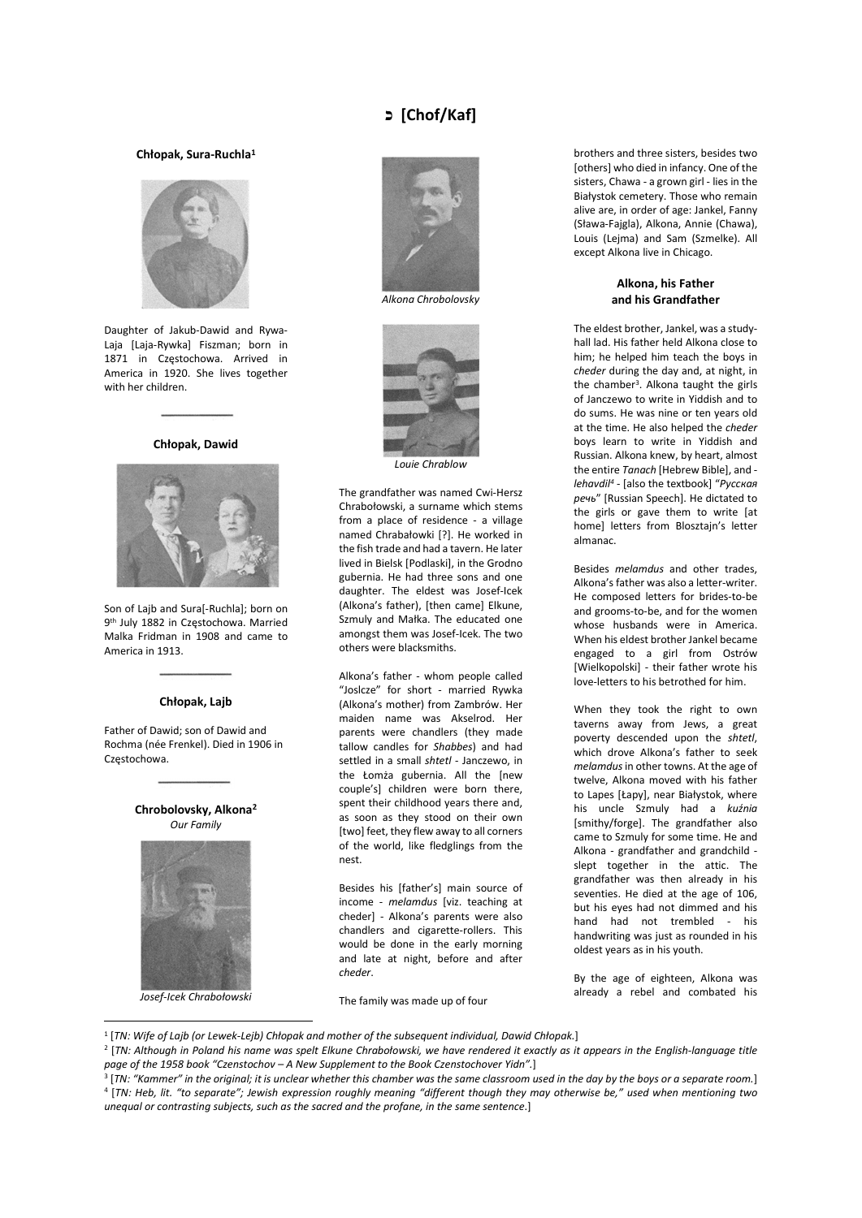# כ] Chof/Kaf]

## Chłopak, Sura-Ruchla<sup>1</sup>



Daughter of Jakub-Dawid and Rywa-Laja [Laja-Rywka] Fiszman; born in 1871 in Częstochowa. Arrived in America in 1920. She lives together with her children.

Chłopak, Dawid



Son of Lajb and Sura[-Ruchla]; born on 9 th July 1882 in Częstochowa. Married Malka Fridman in 1908 and came to America in 1913.

# Chłopak, Lajb

Father of Dawid; son of Dawid and Rochma (née Frenkel). Died in 1906 in Częstochowa.



Josef-Icek Chrabołowski





The grandfather was named Cwi-Hersz Chrabołowski, a surname which stems from a place of residence - a village named Chrabałowki [?]. He worked in the fish trade and had a tavern. He later lived in Bielsk [Podlaski], in the Grodno gubernia. He had three sons and one daughter. The eldest was Josef-Icek (Alkona's father), [then came] Elkune, Szmuly and Małka. The educated one amongst them was Josef-Icek. The two others were blacksmiths.

Alkona's father - whom people called "Joslcze" for short - married Rywka (Alkona's mother) from Zambrów. Her maiden name was Akselrod. Her parents were chandlers (they made tallow candles for Shabbes) and had settled in a small shtetl - Janczewo, in the Łomża gubernia. All the [new couple's] children were born there, spent their childhood years there and, as soon as they stood on their own [two] feet, they flew away to all corners of the world, like fledglings from the nest.

Besides his [father's] main source of income - melamdus [viz. teaching at cheder] - Alkona's parents were also chandlers and cigarette-rollers. This would be done in the early morning and late at night, before and after cheder.

The family was made up of four

brothers and three sisters, besides two [others] who died in infancy. One of the sisters, Chawa - a grown girl - lies in the Białystok cemetery. Those who remain alive are, in order of age: Jankel, Fanny (Sława-Fajgla), Alkona, Annie (Chawa), Louis (Lejma) and Sam (Szmelke). All except Alkona live in Chicago.

# Alkona, his Father and his Grandfather

The eldest brother, Jankel, was a studyhall lad. His father held Alkona close to him; he helped him teach the boys in cheder during the day and, at night, in the chamber<sup>3</sup>. Alkona taught the girls of Janczewo to write in Yiddish and to do sums. He was nine or ten years old at the time. He also helped the cheder boys learn to write in Yiddish and Russian. Alkona knew, by heart, almost the entire Tanach [Hebrew Bible], and lehavdil<sup>4</sup> - [also the textbook] "Русская речь" [Russian Speech]. He dictated to the girls or gave them to write [at home] letters from Blosztajn's letter almanac.

Besides melamdus and other trades, Alkona's father was also a letter-writer. He composed letters for brides-to-be and grooms-to-be, and for the women whose husbands were in America. When his eldest brother Jankel became engaged to a girl from Ostrów [Wielkopolski] - their father wrote his love-letters to his betrothed for him.

When they took the right to own taverns away from Jews, a great poverty descended upon the shtetl, which drove Alkona's father to seek melamdus in other towns. At the age of twelve, Alkona moved with his father to Lapes [Łapy], near Białystok, where his uncle Szmuly had a kuźnia [smithy/forge]. The grandfather also came to Szmuly for some time. He and Alkona - grandfather and grandchild slept together in the attic. The grandfather was then already in his seventies. He died at the age of 106, but his eyes had not dimmed and his hand had not trembled - his handwriting was just as rounded in his oldest years as in his youth.

By the age of eighteen, Alkona was already a rebel and combated his

- 1 [TN: Wife of Lajb (or Lewek-Lejb) Chłopak and mother of the subsequent individual, Dawid Chłopak.]
- 2 [TN: Although in Poland his name was spelt Elkune Chrabołowski, we have rendered it exactly as it appears in the English-language title page of the 1958 book "Czenstochov – A New Supplement to the Book Czenstochover Yidn".]

3 [TN: "Kammer" in the original; it is unclear whether this chamber was the same classroom used in the day by the boys or a separate room.] 4 [TN: Heb, lit. "to separate"; Jewish expression roughly meaning "different though they may otherwise be," used when mentioning two unequal or contrasting subjects, such as the sacred and the profane, in the same sentence.]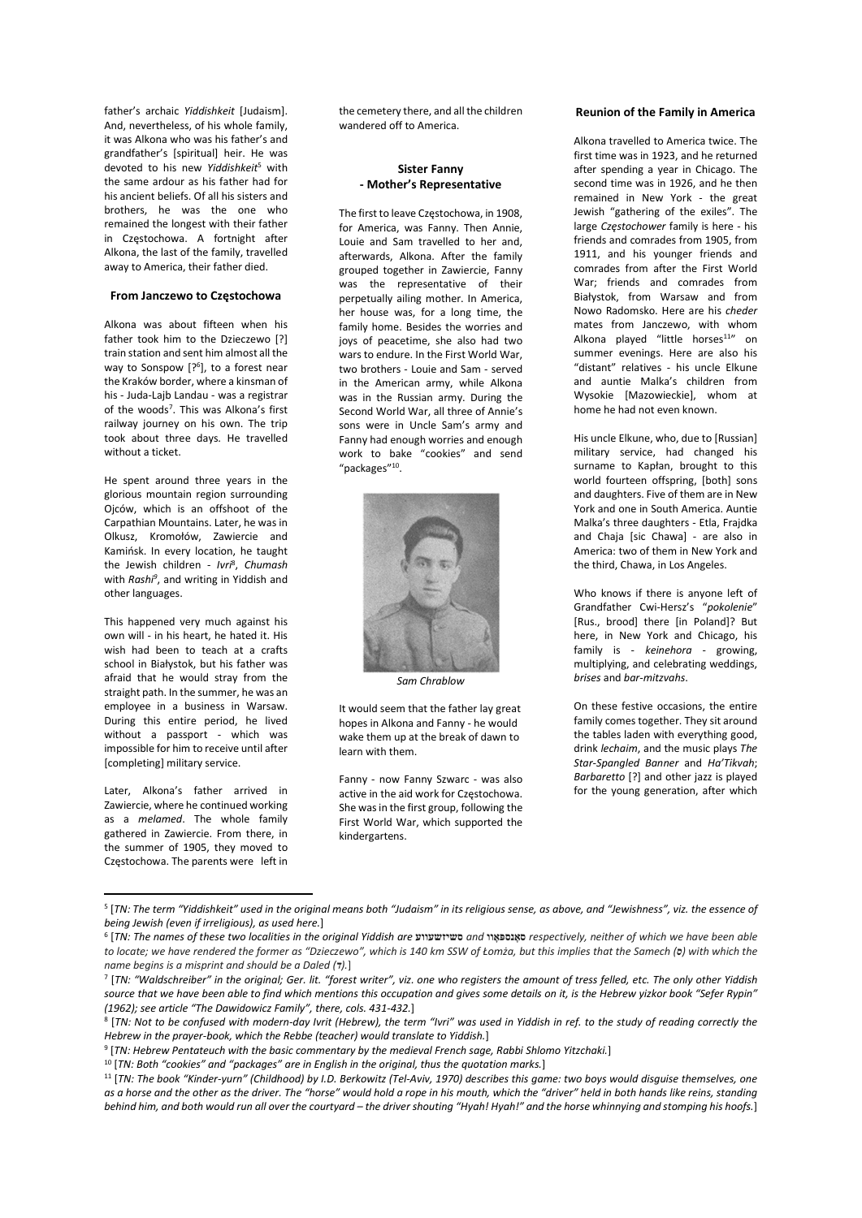father's archaic Yiddishkeit [Judaism]. And, nevertheless, of his whole family, it was Alkona who was his father's and grandfather's [spiritual] heir. He was devoted to his new Yiddishkeit<sup>5</sup> with the same ardour as his father had for his ancient beliefs. Of all his sisters and brothers, he was the one who remained the longest with their father in Częstochowa. A fortnight after Alkona, the last of the family, travelled away to America, their father died.

#### From Janczewo to Częstochowa

Alkona was about fifteen when his father took him to the Dzieczewo [?] train station and sent him almost all the way to Sonspow [?<sup>6</sup>], to a forest near the Kraków border, where a kinsman of his - Juda-Lajb Landau - was a registrar of the woods<sup>7</sup>. This was Alkona's first railway journey on his own. The trip took about three days. He travelled without a ticket.

He spent around three years in the glorious mountain region surrounding Ojców, which is an offshoot of the Carpathian Mountains. Later, he was in Olkusz, Kromołów, Zawiercie and Kamińsk. In every location, he taught the Jewish children - Ivri<sup>8</sup>, Chumash with Rashi<sup>9</sup>, and writing in Yiddish and other languages.

This happened very much against his own will - in his heart, he hated it. His wish had been to teach at a crafts school in Białystok, but his father was afraid that he would stray from the straight path. In the summer, he was an employee in a business in Warsaw. During this entire period, he lived without a passport - which was impossible for him to receive until after [completing] military service.

Later, Alkona's father arrived in Zawiercie, where he continued working as a *melamed*. The whole family gathered in Zawiercie. From there, in the summer of 1905, they moved to Częstochowa. The parents were left in

the cemetery there, and all the children wandered off to America.

## Sister Fanny - Mother's Representative

The first to leave Częstochowa, in 1908, for America, was Fanny. Then Annie, Louie and Sam travelled to her and, afterwards, Alkona. After the family grouped together in Zawiercie, Fanny was the representative of their perpetually ailing mother. In America, her house was, for a long time, the family home. Besides the worries and joys of peacetime, she also had two wars to endure. In the First World War, two brothers - Louie and Sam - served in the American army, while Alkona was in the Russian army. During the Second World War, all three of Annie's sons were in Uncle Sam's army and Fanny had enough worries and enough work to bake "cookies" and send "packages"<sup>10</sup> .



Sam Chrablow

It would seem that the father lay great hopes in Alkona and Fanny - he would wake them up at the break of dawn to learn with them.

Fanny - now Fanny Szwarc - was also active in the aid work for Częstochowa. She was in the first group, following the First World War, which supported the kindergartens.

## Reunion of the Family in America

Alkona travelled to America twice. The first time was in 1923, and he returned after spending a year in Chicago. The second time was in 1926, and he then remained in New York - the great Jewish "gathering of the exiles". The large Częstochower family is here - his friends and comrades from 1905, from 1911, and his younger friends and comrades from after the First World War; friends and comrades from Białystok, from Warsaw and from Nowo Radomsko. Here are his cheder mates from Janczewo, with whom Alkona played "little horses<sup>11"</sup> on summer evenings. Here are also his "distant" relatives - his uncle Elkune and auntie Malka's children from Wysokie [Mazowieckie], whom at home he had not even known.

His uncle Elkune, who, due to [Russian] military service, had changed his surname to Kapłan, brought to this world fourteen offspring, [both] sons and daughters. Five of them are in New York and one in South America. Auntie Malka's three daughters - Etla, Frajdka and Chaja [sic Chawa] - are also in America: two of them in New York and the third, Chawa, in Los Angeles.

Who knows if there is anyone left of Grandfather Cwi-Hersz's "pokolenie" [Rus., brood] there [in Poland]? But here, in New York and Chicago, his family is - keinehora - growing, multiplying, and celebrating weddings, brises and bar-mitzvahs.

On these festive occasions, the entire family comes together. They sit around the tables laden with everything good, drink lechaim, and the music plays The Star-Spangled Banner and Ha'Tikvah; Barbaretto [?] and other jazz is played for the young generation, after which

9 [TN: Hebrew Pentateuch with the basic commentary by the medieval French sage, Rabbi Shlomo Yitzchaki.]

<sup>5</sup> [TN: The term "Yiddishkeit" used in the original means both "Judaism" in its religious sense, as above, and "Jewishness", viz. the essence of being Jewish (even if irreligious), as used here.]

<sup>6</sup> [TN: The names of these two localities in the original Yiddish are סשיזשעווע and סאָנספּאָװ respectively, neither of which we have been able to locate; we have rendered the former as "Dzieczewo", which is 140 km SSW of Łomża, but this implies that the Samech (b) with which the name begins is a misprint and should be a Daled  $(7).$ ]

<sup>7</sup> [TN: "Waldschreiber" in the original; Ger. lit. "forest writer", viz. one who registers the amount of tress felled, etc. The only other Yiddish source that we have been able to find which mentions this occupation and gives some details on it, is the Hebrew yizkor book "Sefer Rypin" (1962); see article "The Dawidowicz Family", there, cols. 431-432.]

<sup>8</sup> [TN: Not to be confused with modern-day Ivrit (Hebrew), the term "Ivri" was used in Yiddish in ref. to the study of reading correctly the Hebrew in the prayer-book, which the Rebbe (teacher) would translate to Yiddish.]

 $10$  [TN: Both "cookies" and "packages" are in English in the original, thus the quotation marks.]

<sup>&</sup>lt;sup>11</sup> [TN: The book "Kinder-yurn" (Childhood) by I.D. Berkowitz (Tel-Aviv, 1970) describes this game: two boys would disguise themselves, one as a horse and the other as the driver. The "horse" would hold a rope in his mouth, which the "driver" held in both hands like reins, standing behind him, and both would run all over the courtyard – the driver shouting "Hyah! Hyah!" and the horse whinnying and stomping his hoofs.]